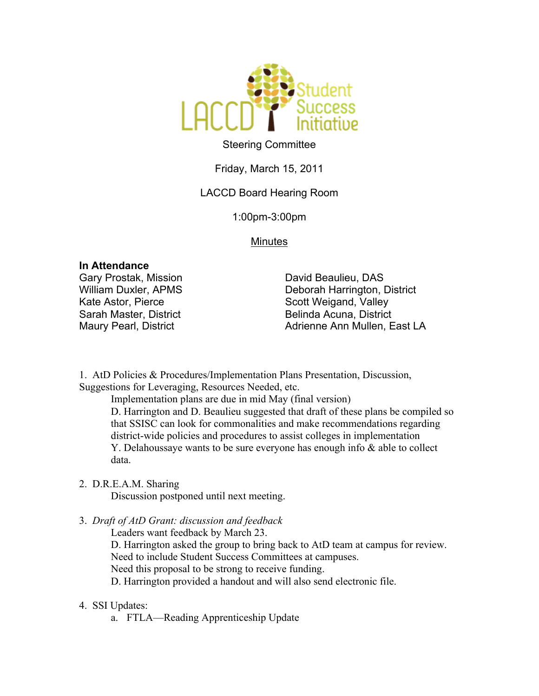

# Steering Committee

Friday, March 15, 2011

# LACCD Board Hearing Room

1:00pm-3:00pm

### Minutes

### **In Attendance**

Gary Prostak, Mission William Duxler, APMS Kate Astor, Pierce Sarah Master, District Maury Pearl, District

David Beaulieu, DAS Deborah Harrington, District Scott Weigand, Valley Belinda Acuna, District Adrienne Ann Mullen, East LA

1. AtD Policies & Procedures/Implementation Plans Presentation, Discussion, Suggestions for Leveraging, Resources Needed, etc.

Implementation plans are due in mid May (final version)

D. Harrington and D. Beaulieu suggested that draft of these plans be compiled so that SSISC can look for commonalities and make recommendations regarding district-wide policies and procedures to assist colleges in implementation Y. Delahoussaye wants to be sure everyone has enough info & able to collect data.

### 2. D.R.E.A.M. Sharing

Discussion postponed until next meeting.

3. *Draft of AtD Grant: discussion and feedback*

Leaders want feedback by March 23.

D. Harrington asked the group to bring back to AtD team at campus for review.

Need to include Student Success Committees at campuses.

Need this proposal to be strong to receive funding.

D. Harrington provided a handout and will also send electronic file.

## 4. SSI Updates:

a. FTLA—Reading Apprenticeship Update